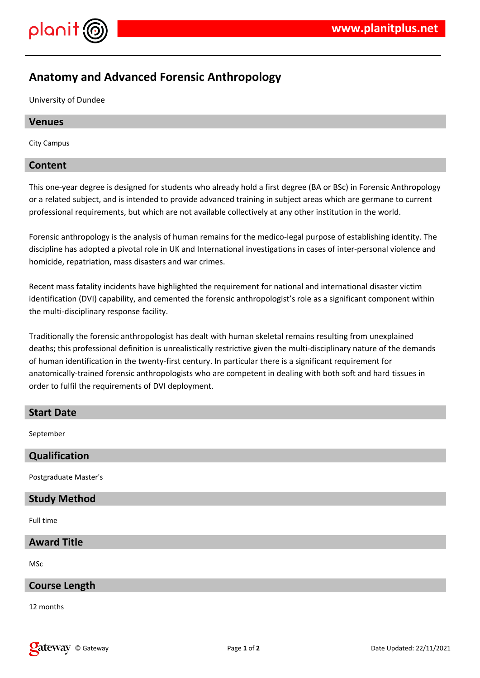

# **Anatomy and Advanced Forensic Anthropology**

University of Dundee

## **Venues**

City Campus

## **Content**

This one-year degree is designed for students who already hold a first degree (BA or BSc) in Forensic Anthropology or a related subject, and is intended to provide advanced training in subject areas which are germane to current professional requirements, but which are not available collectively at any other institution in the world.

Forensic anthropology is the analysis of human remains for the medico-legal purpose of establishing identity. The discipline has adopted a pivotal role in UK and International investigations in cases of inter-personal violence and homicide, repatriation, mass disasters and war crimes.

Recent mass fatality incidents have highlighted the requirement for national and international disaster victim identification (DVI) capability, and cemented the forensic anthropologist's role as a significant component within the multi-disciplinary response facility.

Traditionally the forensic anthropologist has dealt with human skeletal remains resulting from unexplained deaths; this professional definition is unrealistically restrictive given the multi-disciplinary nature of the demands of human identification in the twenty-first century. In particular there is a significant requirement for anatomically-trained forensic anthropologists who are competent in dealing with both soft and hard tissues in order to fulfil the requirements of DVI deployment.

## **Start Date**

September

| <b>Qualification</b>                                                                                           |  |
|----------------------------------------------------------------------------------------------------------------|--|
| Postgraduate Master's                                                                                          |  |
| - 2008년 - 대한민국의 대한민국의 대한민국의 대한민국의 대한민국의 대한민국의 대한민국의 대한민국의 대한민국의 대한민국의 대한민국의 대한민국의 대한민국의 대한민국의 대한민국의 대한민국의 대한민국 |  |

## **Study Method**

Full time

## **Award Title**

MSc

## **Course Length**

12 months